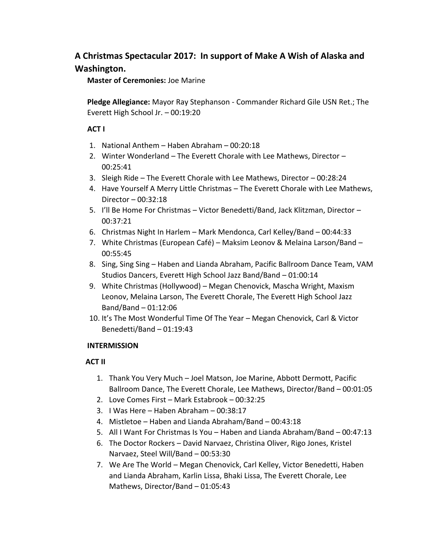## **A Christmas Spectacular 2017: In support of Make A Wish of Alaska and Washington.**

**Master of Ceremonies:** Joe Marine

**Pledge Allegiance:** Mayor Ray Stephanson - Commander Richard Gile USN Ret.; The Everett High School Jr. – 00:19:20

## **ACT I**

- 1. National Anthem Haben Abraham 00:20:18
- 2. Winter Wonderland The Everett Chorale with Lee Mathews, Director 00:25:41
- 3. Sleigh Ride The Everett Chorale with Lee Mathews, Director 00:28:24
- 4. Have Yourself A Merry Little Christmas The Everett Chorale with Lee Mathews, Director – 00:32:18
- 5. I'll Be Home For Christmas Victor Benedetti/Band, Jack Klitzman, Director 00:37:21
- 6. Christmas Night In Harlem Mark Mendonca, Carl Kelley/Band 00:44:33
- 7. White Christmas (European Café) Maksim Leonov & Melaina Larson/Band 00:55:45
- 8. Sing, Sing Sing Haben and Lianda Abraham, Pacific Ballroom Dance Team, VAM Studios Dancers, Everett High School Jazz Band/Band – 01:00:14
- 9. White Christmas (Hollywood) Megan Chenovick, Mascha Wright, Maxism Leonov, Melaina Larson, The Everett Chorale, The Everett High School Jazz Band/Band – 01:12:06
- 10. It's The Most Wonderful Time Of The Year Megan Chenovick, Carl & Victor Benedetti/Band – 01:19:43

## **INTERMISSION**

## **ACT II**

- 1. Thank You Very Much Joel Matson, Joe Marine, Abbott Dermott, Pacific Ballroom Dance, The Everett Chorale, Lee Mathews, Director/Band – 00:01:05
- 2. Love Comes First Mark Estabrook 00:32:25
- 3. I Was Here Haben Abraham 00:38:17
- 4. Mistletoe Haben and Lianda Abraham/Band 00:43:18
- 5. All I Want For Christmas Is You Haben and Lianda Abraham/Band 00:47:13
- 6. The Doctor Rockers David Narvaez, Christina Oliver, Rigo Jones, Kristel Narvaez, Steel Will/Band – 00:53:30
- 7. We Are The World Megan Chenovick, Carl Kelley, Victor Benedetti, Haben and Lianda Abraham, Karlin Lissa, Bhaki Lissa, The Everett Chorale, Lee Mathews, Director/Band – 01:05:43